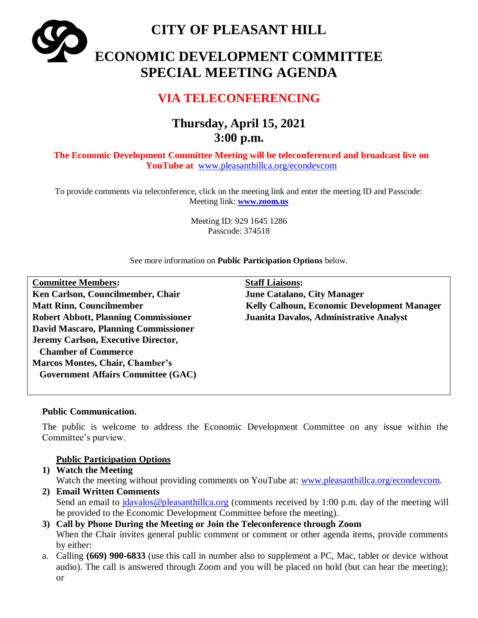**CITY OF PLEASANT HILL ECONOMIC DEVELOPMENT COMMITTEE SPECIAL MEETING AGENDA**

## **VIA TELECONFERENCING**

# **Thursday, April 15, 2021 3:00 p.m.**

**The Economic Development Committee Meeting will be teleconferenced and broadcast live on YouTube at** [www.pleasanthillca.org/econdevcom](http://www.pleasanthillca.org/econdevcom)

To provide comments via teleconference, click on the meeting link and enter the meeting ID and Passcode: Meeting link: **[www.zoom.us](http://www.zoom.us/)**

> Meeting ID: 929 1645 1286 Passcode: 374518

See more information on **Public Participation Options** below.

| <b>Committee Members:</b>                   | <b>Staff Liaisons:</b>                             |
|---------------------------------------------|----------------------------------------------------|
| Ken Carlson, Councilmember, Chair           | <b>June Catalano, City Manager</b>                 |
| <b>Matt Rinn, Councilmember</b>             | <b>Kelly Calhoun, Economic Development Manager</b> |
| <b>Robert Abbott, Planning Commissioner</b> | Juanita Davalos, Administrative Analyst            |
| <b>David Mascaro, Planning Commissioner</b> |                                                    |
| Jeremy Carlson, Executive Director,         |                                                    |
| <b>Chamber of Commerce</b>                  |                                                    |
| <b>Marcos Montes, Chair, Chamber's</b>      |                                                    |
| <b>Government Affairs Committee (GAC)</b>   |                                                    |
|                                             |                                                    |

#### **Public Communication.**

The public is welcome to address the Economic Development Committee on any issue within the Committee's purview.

## **Public Participation Options**

**1) Watch the Meeting**

Watch the meeting without providing comments on YouTube at: [www.pleasanthillca.org/econdevcom.](http://www.pleasanthillca.org/econdevcom)

- **2) Email Written Comments**  Send an email to [jdavalos@pleasanthillca.org](mailto:jdavalos@pleasanthillca.org) (comments received by 1:00 p.m. day of the meeting will be provided to the Economic Development Committee before the meeting).
- **3) Call by Phone During the Meeting or Join the Teleconference through Zoom** When the Chair invites general public comment or comment or other agenda items, provide comments by either:
- a. Calling **(669) 900-6833** (use this call in number also to supplement a PC, Mac, tablet or device without audio). The call is answered through Zoom and you will be placed on hold (but can hear the meeting); or